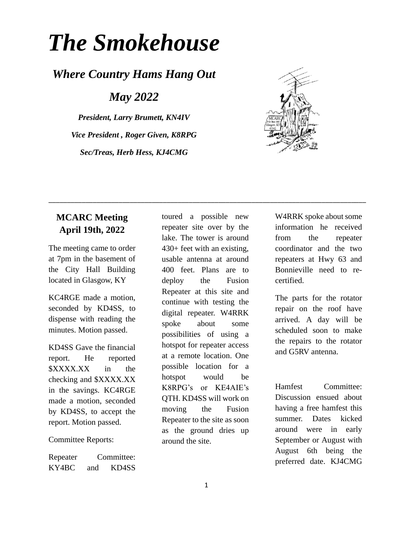# *The Smokehouse*

## *Where Country Hams Hang Out*

*May 2022*

*President, Larry Brumett, KN4IV Vice President , Roger Given, K8RPG Sec/Treas, Herb Hess, KJ4CMG*



#### **MCARC Meeting April 19th, 2022**

The meeting came to order at 7pm in the basement of the City Hall Building located in Glasgow, KY

KC4RGE made a motion, seconded by KD4SS, to dispense with reading the minutes. Motion passed.

KD4SS Gave the financial report. He reported \$XXXX.XX in the checking and \$XXXX.XX in the savings. KC4RGE made a motion, seconded by KD4SS, to accept the report. Motion passed.

Committee Reports:

Repeater Committee: KY4BC and KD4SS

toured a possible new repeater site over by the lake. The tower is around 430+ feet with an existing, usable antenna at around 400 feet. Plans are to deploy the Fusion Repeater at this site and continue with testing the digital repeater. W4RRK spoke about some possibilities of using a hotspot for repeater access at a remote location. One possible location for a hotspot would be K8RPG's or KE4AIE's QTH. KD4SS will work on moving the Fusion Repeater to the site as soon as the ground dries up around the site.

\_\_\_\_\_\_\_\_\_\_\_\_\_\_\_\_\_\_\_\_\_\_\_\_\_\_\_\_\_\_\_\_\_\_\_\_\_\_\_\_\_\_\_\_\_\_\_\_\_\_\_\_\_\_\_\_\_\_\_\_\_\_\_\_\_\_\_\_\_\_\_\_\_\_\_\_\_\_\_\_\_\_\_\_\_\_

W4RRK spoke about some information he received from the repeater coordinator and the two repeaters at Hwy 63 and Bonnieville need to recertified.

The parts for the rotator repair on the roof have arrived. A day will be scheduled soon to make the repairs to the rotator and G5RV antenna.

Hamfest Committee: Discussion ensued about having a free hamfest this summer. Dates kicked around were in early September or August with August 6th being the preferred date. KJ4CMG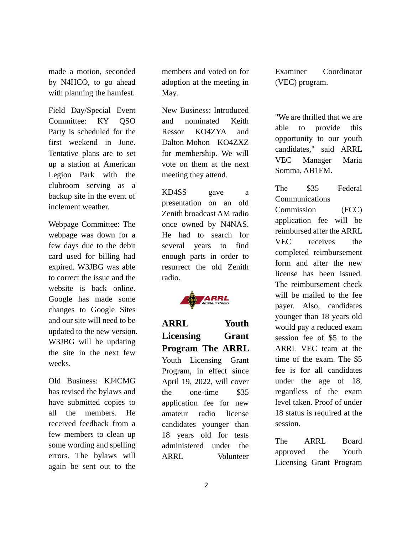made a motion, seconded by N4HCO, to go ahead with planning the hamfest.

Field Day/Special Event Committee: KY QSO Party is scheduled for the first weekend in June. Tentative plans are to set up a station at American Legion Park with the clubroom serving as a backup site in the event of inclement weather.

Webpage Committee: The webpage was down for a few days due to the debit card used for billing had expired. W3JBG was able to correct the issue and the website is back online. Google has made some changes to Google Sites and our site will need to be updated to the new version. W3JBG will be updating the site in the next few weeks.

Old Business: KJ4CMG has revised the bylaws and have submitted copies to all the members. He received feedback from a few members to clean up some wording and spelling errors. The bylaws will again be sent out to the

members and voted on for adoption at the meeting in May.

New Business: Introduced and nominated Keith Ressor KO4ZYA and Dalton Mohon KO4ZXZ for membership. We will vote on them at the next meeting they attend.

KD4SS gave a presentation on an old Zenith broadcast AM radio once owned by N4NAS. He had to search for several years to find enough parts in order to resurrect the old Zenith radio.



**ARRL Youth Licensing Grant Program The ARRL**  Youth Licensing Grant Program, in effect since April 19, 2022, will cover the one-time \$35 application fee for new amateur radio license candidates younger than 18 years old for tests administered under the ARRL Volunteer Examiner Coordinator (VEC) program.

"We are thrilled that we are able to provide this opportunity to our youth candidates," said ARRL VEC Manager Maria Somma, AB1FM.

The \$35 Federal Communications Commission (FCC) application fee will be reimbursed after the ARRL VEC receives the completed reimbursement form and after the new license has been issued. The reimbursement check will be mailed to the fee payer. Also, candidates younger than 18 years old would pay a reduced exam session fee of \$5 to the ARRL VEC team at the time of the exam. The \$5 fee is for all candidates under the age of 18, regardless of the exam level taken. Proof of under 18 status is required at the session.

The ARRL Board approved the Youth Licensing Grant Program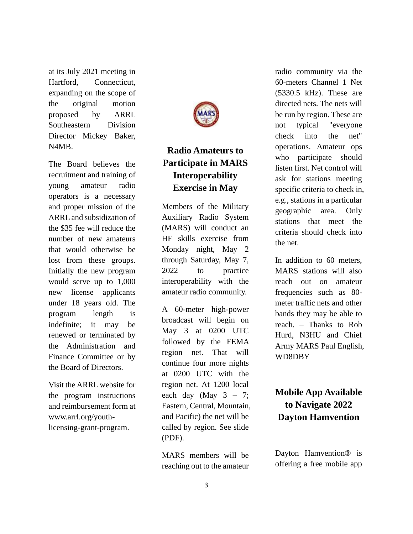at its July 2021 meeting in Hartford, Connecticut, expanding on the scope of the original motion proposed by ARRL Southeastern Division Director Mickey Baker, N4MB.

The Board believes the recruitment and training of young amateur radio operators is a necessary and proper mission of the ARRL and subsidization of the \$35 fee will reduce the number of new amateurs that would otherwise be lost from these groups. Initially the new program would serve up to 1,000 new license applicants under 18 years old. The program length is indefinite; it may be renewed or terminated by the Administration and Finance Committee or by the Board of Directors.

Visit the ARRL website for the program instructions and reimbursement form at [www.arrl.org/youth](http://www.arrl.org/youth-licensing-grant-program)[licensing-grant-program.](http://www.arrl.org/youth-licensing-grant-program)



## **Radio Amateurs to Participate in MARS Interoperability Exercise in May**

Members of the Military Auxiliary Radio System (MARS) will conduct an HF skills exercise from Monday night, May 2 through Saturday, May 7, 2022 to practice interoperability with the amateur radio community.

A 60-meter high-power broadcast will begin on May 3 at 0200 UTC followed by the FEMA region net. That will continue four more nights at 0200 UTC with the region net. At 1200 local each day (May  $3 - 7$ ; Eastern, Central, Mountain, and Pacific) the net will be called by region. See slide (PDF).

MARS members will be reaching out to the amateur radio community via the 60-meters Channel 1 Net (5330.5 kHz). These are directed nets. The nets will be run by region. These are not typical "everyone check into the net" operations. Amateur ops who participate should listen first. Net control will ask for stations meeting specific criteria to check in, e.g., stations in a particular geographic area. Only stations that meet the criteria should check into the net.

In addition to 60 meters, MARS stations will also reach out on amateur frequencies such as 80 meter traffic nets and other bands they may be able to reach. – Thanks to Rob Hurd, N3HU and Chief Army MARS Paul English, WD8DBY

## **Mobile App Available to Navigate 2022 Dayton Hamvention**

Dayton Hamvention® is offering a free mobile app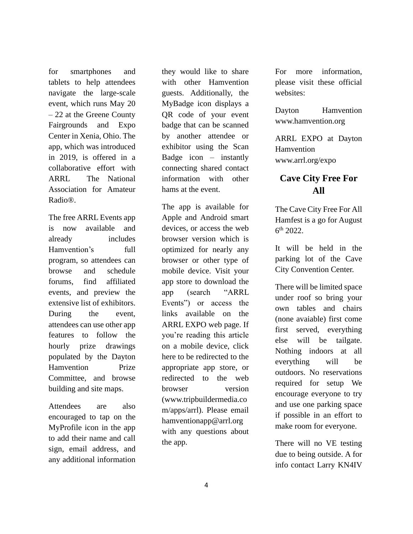for smartphones and tablets to help attendees navigate the large-scale event, which runs May 20 – 22 at the Greene County Fairgrounds and Expo Center in Xenia, Ohio. The app, which was introduced in 2019, is offered in a collaborative effort with ARRL The National Association for Amateur Radio®.

The free ARRL Events app is now available and already includes Hamvention's full program, so attendees can browse and schedule forums, find affiliated events, and preview the extensive list of exhibitors. During the event, attendees can use other app features to follow the hourly prize drawings populated by the Dayton Hamvention Prize Committee, and browse building and site maps.

Attendees are also encouraged to tap on the MyProfile icon in the app to add their name and call sign, email address, and any additional information

they would like to share with other Hamvention guests. Additionally, the MyBadge icon displays a QR code of your event badge that can be scanned by another attendee or exhibitor using the Scan Badge icon  $-$  instantly connecting shared contact information with other hams at the event.

The app is available for Apple and Android smart devices, or access the web browser version which is optimized for nearly any browser or other type of mobile device. Visit your app store to download the app (search "ARRL Events") or access the links available on the ARRL EXPO web page. If you're reading this article on a mobile device, click here to be redirected to the appropriate app store, or redirected to the web browser version (www.tripbuildermedia.co m/apps/arrl). Please email hamventionapp@arrl.org with any questions about the app.

For more information, please visit these official websites:

Dayton Hamvention www.hamvention.org

ARRL EXPO at Dayton Hamvention [www.arrl.org/expo](http://www.arrl.org/expo)

#### **Cave City Free For All**

The Cave City Free For All Hamfest is a go for August 6 th 2022.

It will be held in the parking lot of the Cave City Convention Center.

There will be limited space under roof so bring your own tables and chairs (none avaiable) first come first served, everything else will be tailgate. Nothing indoors at all everything will be outdoors. No reservations required for setup We encourage everyone to try and use one parking space if possible in an effort to make room for everyone.

There will no VE testing due to being outside. A for info contact Larry KN4IV